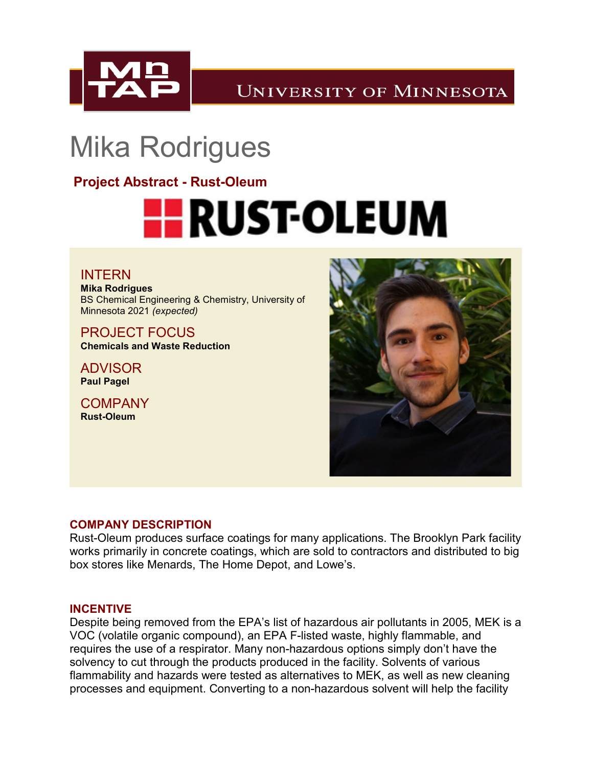

**UNIVERSITY OF MINNESOTA** 

## Mika Rodrigues

**Project Abstract - Rust-Oleum**

# **HE RUST-OLEUM**

#### INTERN **Mika Rodrigues** BS Chemical Engineering & Chemistry, University of Minnesota 2021 *(expected)*

PROJECT FOCUS **Chemicals and Waste Reduction**

ADVISOR **Paul Pagel**

**COMPANY Rust-Oleum**



#### **COMPANY DESCRIPTION**

Rust-Oleum produces surface coatings for many applications. The Brooklyn Park facility works primarily in concrete coatings, which are sold to contractors and distributed to big box stores like Menards, The Home Depot, and Lowe's.

#### **INCENTIVE**

Despite being removed from the EPA's list of hazardous air pollutants in 2005, MEK is a VOC (volatile organic compound), an EPA F-listed waste, highly flammable, and requires the use of a respirator. Many non-hazardous options simply don't have the solvency to cut through the products produced in the facility. Solvents of various flammability and hazards were tested as alternatives to MEK, as well as new cleaning processes and equipment. Converting to a non-hazardous solvent will help the facility